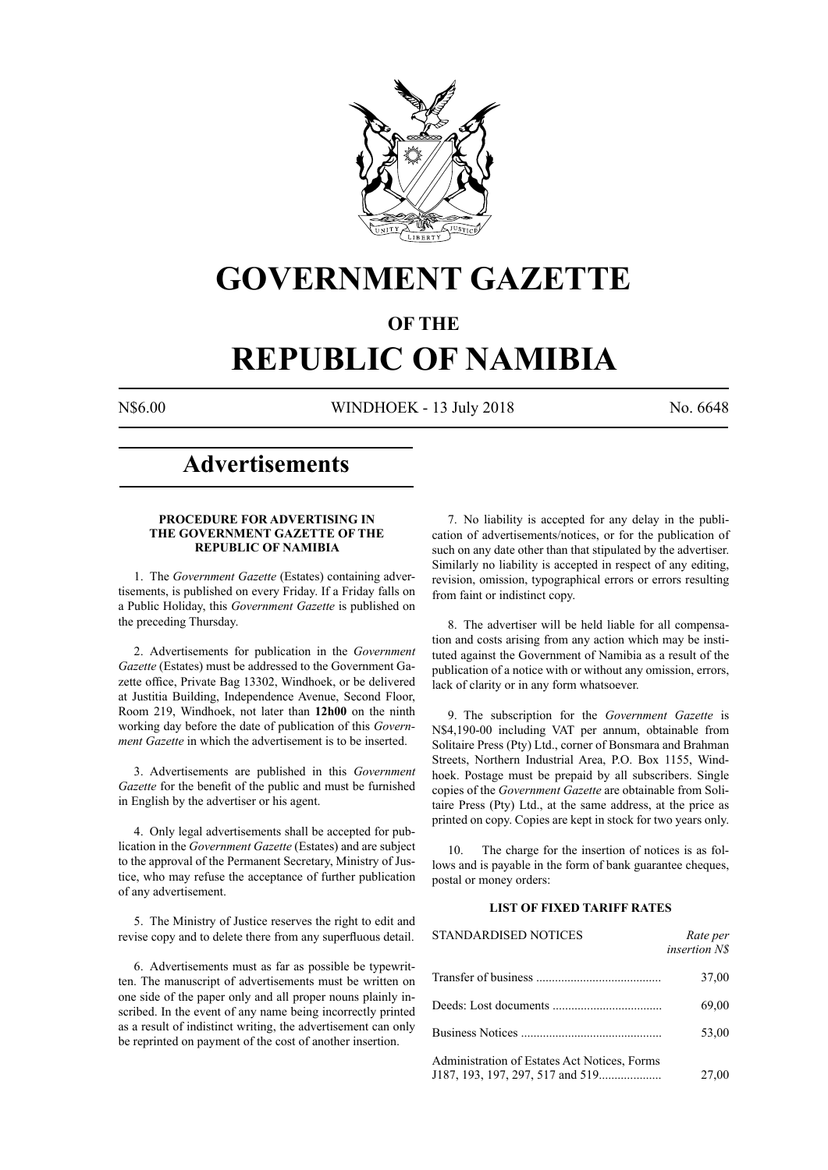

# **GOVERNMENT GAZETTE**

# **OF THE**

# **REPUBLIC OF NAMIBIA**

N\$6.00 WINDHOEK - 13 July 2018 No. 6648

# **Advertisements**

# **PROCEDURE FOR ADVERTISING IN THE GOVERNMENT GAZETTE OF THE REPUBLIC OF NAMIBIA**

1. The *Government Gazette* (Estates) containing advertisements, is published on every Friday. If a Friday falls on a Public Holiday, this *Government Gazette* is published on the preceding Thursday.

2. Advertisements for publication in the *Government Gazette* (Estates) must be addressed to the Government Gazette office, Private Bag 13302, Windhoek, or be delivered at Justitia Building, Independence Avenue, Second Floor, Room 219, Windhoek, not later than **12h00** on the ninth working day before the date of publication of this *Government Gazette* in which the advertisement is to be inserted.

3. Advertisements are published in this *Government Gazette* for the benefit of the public and must be furnished in English by the advertiser or his agent.

4. Only legal advertisements shall be accepted for publication in the *Government Gazette* (Estates) and are subject to the approval of the Permanent Secretary, Ministry of Justice, who may refuse the acceptance of further publication of any advertisement.

5. The Ministry of Justice reserves the right to edit and revise copy and to delete there from any superfluous detail.

6. Advertisements must as far as possible be typewritten. The manuscript of advertisements must be written on one side of the paper only and all proper nouns plainly inscribed. In the event of any name being incorrectly printed as a result of indistinct writing, the advertisement can only be reprinted on payment of the cost of another insertion.

7. No liability is accepted for any delay in the publication of advertisements/notices, or for the publication of such on any date other than that stipulated by the advertiser. Similarly no liability is accepted in respect of any editing, revision, omission, typographical errors or errors resulting from faint or indistinct copy.

8. The advertiser will be held liable for all compensation and costs arising from any action which may be instituted against the Government of Namibia as a result of the publication of a notice with or without any omission, errors, lack of clarity or in any form whatsoever.

9. The subscription for the *Government Gazette* is N\$4,190-00 including VAT per annum, obtainable from Solitaire Press (Pty) Ltd., corner of Bonsmara and Brahman Streets, Northern Industrial Area, P.O. Box 1155, Windhoek. Postage must be prepaid by all subscribers. Single copies of the *Government Gazette* are obtainable from Solitaire Press (Pty) Ltd., at the same address, at the price as printed on copy. Copies are kept in stock for two years only.

10. The charge for the insertion of notices is as follows and is payable in the form of bank guarantee cheques, postal or money orders:

# **LIST OF FIXED TARIFF RATES**

| <b>STANDARDISED NOTICES</b>                  | Rate per<br><i>insertion NS</i> |
|----------------------------------------------|---------------------------------|
|                                              | 37,00                           |
|                                              | 69,00                           |
|                                              | 53,00                           |
| Administration of Estates Act Notices, Forms | 27,00                           |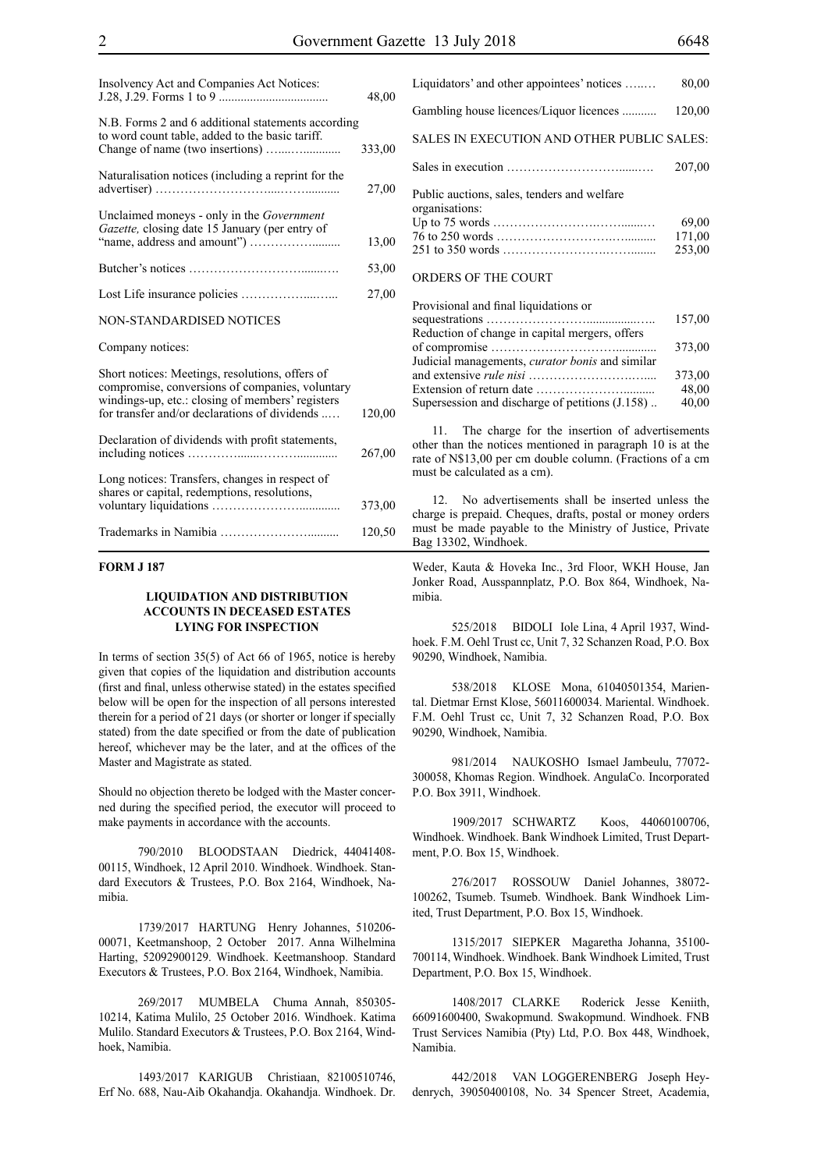| Insolvency Act and Companies Act Notices:                                                                                                                                                               | 48,00  |
|---------------------------------------------------------------------------------------------------------------------------------------------------------------------------------------------------------|--------|
| N.B. Forms 2 and 6 additional statements according<br>to word count table, added to the basic tariff.                                                                                                   | 333,00 |
| Naturalisation notices (including a reprint for the                                                                                                                                                     | 27,00  |
| Unclaimed moneys - only in the Government<br>Gazette, closing date 15 January (per entry of                                                                                                             | 13,00  |
|                                                                                                                                                                                                         | 53,00  |
|                                                                                                                                                                                                         | 27,00  |
| NON-STANDARDISED NOTICES                                                                                                                                                                                |        |
| Company notices:                                                                                                                                                                                        |        |
| Short notices: Meetings, resolutions, offers of<br>compromise, conversions of companies, voluntary<br>windings-up, etc.: closing of members' registers<br>for transfer and/or declarations of dividends | 120,00 |
| Declaration of dividends with profit statements,                                                                                                                                                        | 267,00 |
| Long notices: Transfers, changes in respect of<br>shares or capital, redemptions, resolutions,                                                                                                          | 373,00 |
|                                                                                                                                                                                                         | 120,50 |

# **FORM J 187**

# **LIQUIDATION AND DISTRIBUTION ACCOUNTS IN DECEASED ESTATES LYING FOR INSPECTION**

In terms of section 35(5) of Act 66 of 1965, notice is hereby given that copies of the liquidation and distribution accounts (first and final, unless otherwise stated) in the estates specified below will be open for the inspection of all persons interested therein for a period of 21 days (or shorter or longer if specially stated) from the date specified or from the date of publication hereof, whichever may be the later, and at the offices of the Master and Magistrate as stated.

Should no objection thereto be lodged with the Master concerned during the specified period, the executor will proceed to make payments in accordance with the accounts.

790/2010 BLOODSTAAN Diedrick, 44041408- 00115, Windhoek, 12 April 2010. Windhoek. Windhoek. Standard Executors & Trustees, P.O. Box 2164, Windhoek, Namibia.

1739/2017 HARTUNG Henry Johannes, 510206- 00071, Keetmanshoop, 2 October 2017. Anna Wilhelmina Harting, 52092900129. Windhoek. Keetmanshoop. Standard Executors & Trustees, P.O. Box 2164, Windhoek, Namibia.

269/2017 MUMBELA Chuma Annah, 850305- 10214, Katima Mulilo, 25 October 2016. Windhoek. Katima Mulilo. Standard Executors & Trustees, P.O. Box 2164, Windhoek, Namibia.

1493/2017 KARIGUB Christiaan, 82100510746, Erf No. 688, Nau-Aib Okahandja. Okahandja. Windhoek. Dr.

# SALES IN EXECUTION AND OTHER PUBLIC SALES:

|                                                               | 207,00 |
|---------------------------------------------------------------|--------|
| Public auctions, sales, tenders and welfare<br>organisations: |        |
|                                                               | 69.00  |
|                                                               | 171.00 |
|                                                               | 253.00 |

#### ORDERS OF THE COURT

| Provisional and final liquidations or                  |        |
|--------------------------------------------------------|--------|
|                                                        | 157,00 |
| Reduction of change in capital mergers, offers         |        |
|                                                        | 373,00 |
| Judicial managements, <i>curator bonis</i> and similar |        |
|                                                        | 373,00 |
|                                                        | 48,00  |
| Supersession and discharge of petitions (J.158)        | 40,00  |

11. The charge for the insertion of advertisements other than the notices mentioned in paragraph 10 is at the rate of N\$13,00 per cm double column. (Fractions of a cm must be calculated as a cm).

12. No advertisements shall be inserted unless the charge is prepaid. Cheques, drafts, postal or money orders must be made payable to the Ministry of Justice, Private Bag 13302, Windhoek.

Weder, Kauta & Hoveka Inc., 3rd Floor, WKH House, Jan Jonker Road, Ausspannplatz, P.O. Box 864, Windhoek, Namibia.

525/2018 BIDOLI Iole Lina, 4 April 1937, Windhoek. F.M. Oehl Trust cc, Unit 7, 32 Schanzen Road, P.O. Box 90290, Windhoek, Namibia.

538/2018 KLOSE Mona, 61040501354, Mariental. Dietmar Ernst Klose, 56011600034. Mariental. Windhoek. F.M. Oehl Trust cc, Unit 7, 32 Schanzen Road, P.O. Box 90290, Windhoek, Namibia.

981/2014 NAUKOSHO Ismael Jambeulu, 77072- 300058, Khomas Region. Windhoek. AngulaCo. Incorporated P.O. Box 3911, Windhoek.

1909/2017 SCHWARTZ Koos, 44060100706, Windhoek. Windhoek. Bank Windhoek Limited, Trust Department, P.O. Box 15, Windhoek.

276/2017 ROSSOUW Daniel Johannes, 38072- 100262, Tsumeb. Tsumeb. Windhoek. Bank Windhoek Limited, Trust Department, P.O. Box 15, Windhoek.

1315/2017 SIEPKER Magaretha Johanna, 35100- 700114, Windhoek. Windhoek. Bank Windhoek Limited, Trust Department, P.O. Box 15, Windhoek.

1408/2017 CLARKE Roderick Jesse Keniith, 66091600400, Swakopmund. Swakopmund. Windhoek. FNB Trust Services Namibia (Pty) Ltd, P.O. Box 448, Windhoek, Namibia.

442/2018 VAN LOGGERENBERG Joseph Heydenrych, 39050400108, No. 34 Spencer Street, Academia,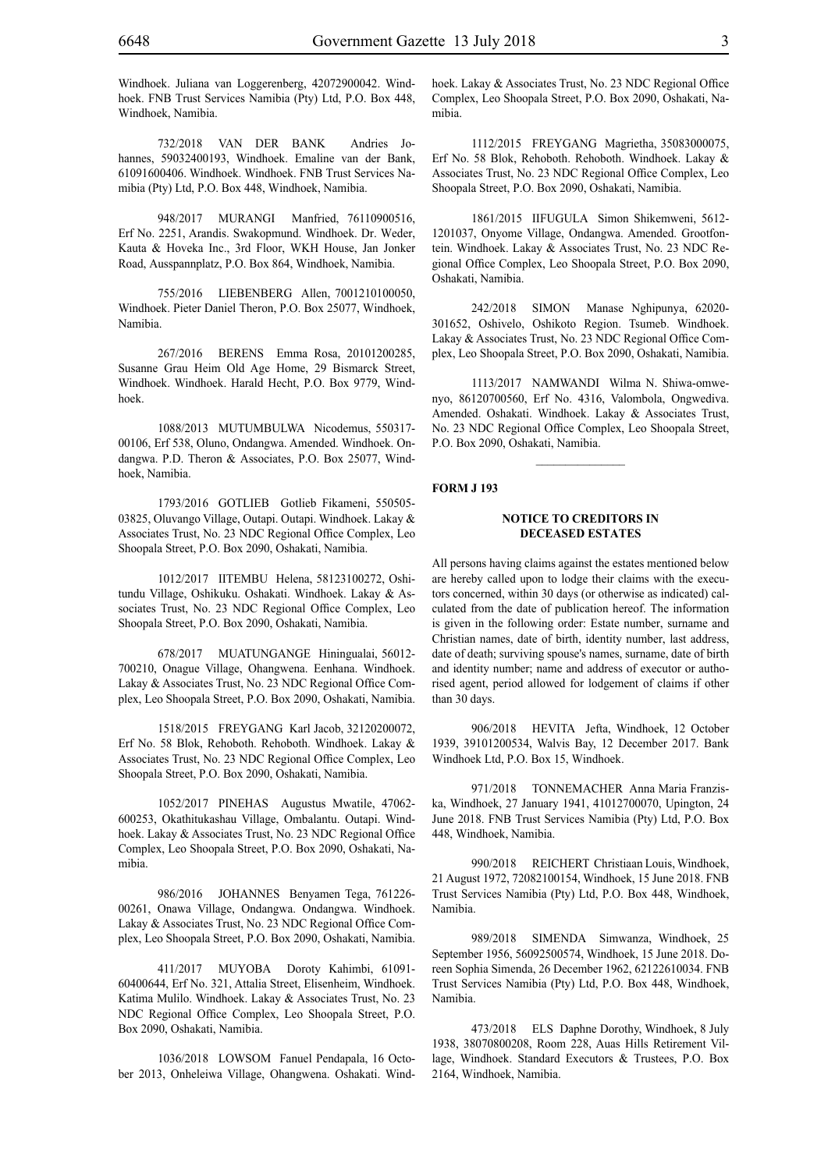Windhoek. Juliana van Loggerenberg, 42072900042. Windhoek. FNB Trust Services Namibia (Pty) Ltd, P.O. Box 448, Windhoek, Namibia.

732/2018 VAN DER BANK Andries Johannes, 59032400193, Windhoek. Emaline van der Bank, 61091600406. Windhoek. Windhoek. FNB Trust Services Namibia (Pty) Ltd, P.O. Box 448, Windhoek, Namibia.

948/2017 MURANGI Manfried, 76110900516, Erf No. 2251, Arandis. Swakopmund. Windhoek. Dr. Weder, Kauta & Hoveka Inc., 3rd Floor, WKH House, Jan Jonker Road, Ausspannplatz, P.O. Box 864, Windhoek, Namibia.

755/2016 LIEBENBERG Allen, 7001210100050, Windhoek. Pieter Daniel Theron, P.O. Box 25077, Windhoek, Namibia.

267/2016 BERENS Emma Rosa, 20101200285, Susanne Grau Heim Old Age Home, 29 Bismarck Street, Windhoek. Windhoek. Harald Hecht, P.O. Box 9779, Windhoek.

1088/2013 MUTUMBULWA Nicodemus, 550317- 00106, Erf 538, Oluno, Ondangwa. Amended. Windhoek. Ondangwa. P.D. Theron & Associates, P.O. Box 25077, Windhoek, Namibia.

1793/2016 GOTLIEB Gotlieb Fikameni, 550505- 03825, Oluvango Village, Outapi. Outapi. Windhoek. Lakay & Associates Trust, No. 23 NDC Regional Office Complex, Leo Shoopala Street, P.O. Box 2090, Oshakati, Namibia.

1012/2017 IITEMBU Helena, 58123100272, Oshitundu Village, Oshikuku. Oshakati. Windhoek. Lakay & Associates Trust, No. 23 NDC Regional Office Complex, Leo Shoopala Street, P.O. Box 2090, Oshakati, Namibia.

678/2017 MUATUNGANGE Hiningualai, 56012- 700210, Onague Village, Ohangwena. Eenhana. Windhoek. Lakay & Associates Trust, No. 23 NDC Regional Office Complex, Leo Shoopala Street, P.O. Box 2090, Oshakati, Namibia.

1518/2015 FREYGANG Karl Jacob, 32120200072, Erf No. 58 Blok, Rehoboth. Rehoboth. Windhoek. Lakay & Associates Trust, No. 23 NDC Regional Office Complex, Leo Shoopala Street, P.O. Box 2090, Oshakati, Namibia.

1052/2017 PINEHAS Augustus Mwatile, 47062- 600253, Okathitukashau Village, Ombalantu. Outapi. Windhoek. Lakay & Associates Trust, No. 23 NDC Regional Office Complex, Leo Shoopala Street, P.O. Box 2090, Oshakati, Namibia.

986/2016 JOHANNES Benyamen Tega, 761226- 00261, Onawa Village, Ondangwa. Ondangwa. Windhoek. Lakay & Associates Trust, No. 23 NDC Regional Office Complex, Leo Shoopala Street, P.O. Box 2090, Oshakati, Namibia.

411/2017 MUYOBA Doroty Kahimbi, 61091- 60400644, Erf No. 321, Attalia Street, Elisenheim, Windhoek. Katima Mulilo. Windhoek. Lakay & Associates Trust, No. 23 NDC Regional Office Complex, Leo Shoopala Street, P.O. Box 2090, Oshakati, Namibia.

1036/2018 LOWSOM Fanuel Pendapala, 16 October 2013, Onheleiwa Village, Ohangwena. Oshakati. Windhoek. Lakay & Associates Trust, No. 23 NDC Regional Office Complex, Leo Shoopala Street, P.O. Box 2090, Oshakati, Namibia.

1112/2015 FREYGANG Magrietha, 35083000075, Erf No. 58 Blok, Rehoboth. Rehoboth. Windhoek. Lakay & Associates Trust, No. 23 NDC Regional Office Complex, Leo Shoopala Street, P.O. Box 2090, Oshakati, Namibia.

1861/2015 IIFUGULA Simon Shikemweni, 5612- 1201037, Onyome Village, Ondangwa. Amended. Grootfontein. Windhoek. Lakay & Associates Trust, No. 23 NDC Regional Office Complex, Leo Shoopala Street, P.O. Box 2090, Oshakati, Namibia.

242/2018 SIMON Manase Nghipunya, 62020- 301652, Oshivelo, Oshikoto Region. Tsumeb. Windhoek. Lakay & Associates Trust, No. 23 NDC Regional Office Complex, Leo Shoopala Street, P.O. Box 2090, Oshakati, Namibia.

1113/2017 NAMWANDI Wilma N. Shiwa-omwenyo, 86120700560, Erf No. 4316, Valombola, Ongwediva. Amended. Oshakati. Windhoek. Lakay & Associates Trust, No. 23 NDC Regional Office Complex, Leo Shoopala Street, P.O. Box 2090, Oshakati, Namibia.

 $\frac{1}{2}$ 

# **FORM J 193**

#### **NOTICE TO CREDITORS IN DECEASED ESTATES**

All persons having claims against the estates mentioned below are hereby called upon to lodge their claims with the executors concerned, within 30 days (or otherwise as indicated) calculated from the date of publication hereof. The information is given in the following order: Estate number, surname and Christian names, date of birth, identity number, last address, date of death; surviving spouse's names, surname, date of birth and identity number; name and address of executor or authorised agent, period allowed for lodgement of claims if other than 30 days.

906/2018 HEVITA Jefta, Windhoek, 12 October 1939, 39101200534, Walvis Bay, 12 December 2017. Bank Windhoek Ltd, P.O. Box 15, Windhoek.

971/2018 TONNEMACHER Anna Maria Franziska, Windhoek, 27 January 1941, 41012700070, Upington, 24 June 2018. FNB Trust Services Namibia (Pty) Ltd, P.O. Box 448, Windhoek, Namibia.

990/2018 REICHERT Christiaan Louis, Windhoek, 21 August 1972, 72082100154, Windhoek, 15 June 2018. FNB Trust Services Namibia (Pty) Ltd, P.O. Box 448, Windhoek, Namibia.

989/2018 SIMENDA Simwanza, Windhoek, 25 September 1956, 56092500574, Windhoek, 15 June 2018. Doreen Sophia Simenda, 26 December 1962, 62122610034. FNB Trust Services Namibia (Pty) Ltd, P.O. Box 448, Windhoek, Namibia.

473/2018 ELS Daphne Dorothy, Windhoek, 8 July 1938, 38070800208, Room 228, Auas Hills Retirement Village, Windhoek. Standard Executors & Trustees, P.O. Box 2164, Windhoek, Namibia.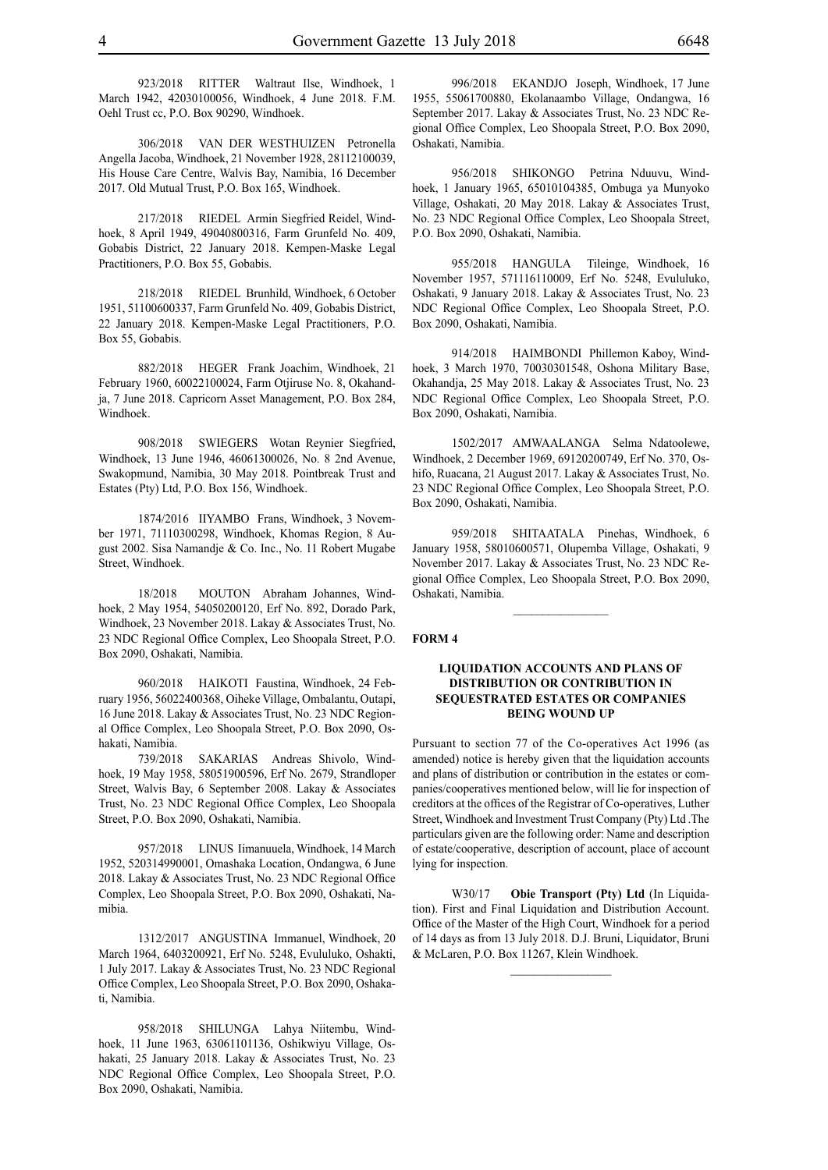923/2018 RITTER Waltraut Ilse, Windhoek, 1 March 1942, 42030100056, Windhoek, 4 June 2018. F.M. Oehl Trust cc, P.O. Box 90290, Windhoek.

306/2018 VAN DER WESTHUIZEN Petronella Angella Jacoba, Windhoek, 21 November 1928, 28112100039, His House Care Centre, Walvis Bay, Namibia, 16 December 2017. Old Mutual Trust, P.O. Box 165, Windhoek.

217/2018 RIEDEL Armin Siegfried Reidel, Windhoek, 8 April 1949, 49040800316, Farm Grunfeld No. 409, Gobabis District, 22 January 2018. Kempen-Maske Legal Practitioners, P.O. Box 55, Gobabis.

218/2018 RIEDEL Brunhild, Windhoek, 6 October 1951, 51100600337, Farm Grunfeld No. 409, Gobabis District, 22 January 2018. Kempen-Maske Legal Practitioners, P.O. Box 55, Gobabis.

882/2018 HEGER Frank Joachim, Windhoek, 21 February 1960, 60022100024, Farm Otjiruse No. 8, Okahandja, 7 June 2018. Capricorn Asset Management, P.O. Box 284, Windhoek.

908/2018 SWIEGERS Wotan Reynier Siegfried, Windhoek, 13 June 1946, 46061300026, No. 8 2nd Avenue, Swakopmund, Namibia, 30 May 2018. Pointbreak Trust and Estates (Pty) Ltd, P.O. Box 156, Windhoek.

1874/2016 IIYAMBO Frans, Windhoek, 3 November 1971, 71110300298, Windhoek, Khomas Region, 8 August 2002. Sisa Namandje & Co. Inc., No. 11 Robert Mugabe Street, Windhoek.

18/2018 MOUTON Abraham Johannes, Windhoek, 2 May 1954, 54050200120, Erf No. 892, Dorado Park, Windhoek, 23 November 2018. Lakay & Associates Trust, No. 23 NDC Regional Office Complex, Leo Shoopala Street, P.O. Box 2090, Oshakati, Namibia.

960/2018 HAIKOTI Faustina, Windhoek, 24 February 1956, 56022400368, Oiheke Village, Ombalantu, Outapi, 16 June 2018. Lakay & Associates Trust, No. 23 NDC Regional Office Complex, Leo Shoopala Street, P.O. Box 2090, Oshakati, Namibia.

739/2018 SAKARIAS Andreas Shivolo, Windhoek, 19 May 1958, 58051900596, Erf No. 2679, Strandloper Street, Walvis Bay, 6 September 2008. Lakay & Associates Trust, No. 23 NDC Regional Office Complex, Leo Shoopala Street, P.O. Box 2090, Oshakati, Namibia.

957/2018 LINUS Iimanuuela, Windhoek, 14 March 1952, 520314990001, Omashaka Location, Ondangwa, 6 June 2018. Lakay & Associates Trust, No. 23 NDC Regional Office Complex, Leo Shoopala Street, P.O. Box 2090, Oshakati, Namibia.

1312/2017 ANGUSTINA Immanuel, Windhoek, 20 March 1964, 6403200921, Erf No. 5248, Evululuko, Oshakti, 1 July 2017. Lakay & Associates Trust, No. 23 NDC Regional Office Complex, Leo Shoopala Street, P.O. Box 2090, Oshakati, Namibia.

958/2018 SHILUNGA Lahya Niitembu, Windhoek, 11 June 1963, 63061101136, Oshikwiyu Village, Oshakati, 25 January 2018. Lakay & Associates Trust, No. 23 NDC Regional Office Complex, Leo Shoopala Street, P.O. Box 2090, Oshakati, Namibia.

996/2018 EKANDJO Joseph, Windhoek, 17 June 1955, 55061700880, Ekolanaambo Village, Ondangwa, 16 September 2017. Lakay & Associates Trust, No. 23 NDC Regional Office Complex, Leo Shoopala Street, P.O. Box 2090, Oshakati, Namibia.

956/2018 SHIKONGO Petrina Nduuvu, Windhoek, 1 January 1965, 65010104385, Ombuga ya Munyoko Village, Oshakati, 20 May 2018. Lakay & Associates Trust, No. 23 NDC Regional Office Complex, Leo Shoopala Street, P.O. Box 2090, Oshakati, Namibia.

955/2018 HANGULA Tileinge, Windhoek, 16 November 1957, 571116110009, Erf No. 5248, Evululuko, Oshakati, 9 January 2018. Lakay & Associates Trust, No. 23 NDC Regional Office Complex, Leo Shoopala Street, P.O. Box 2090, Oshakati, Namibia.

914/2018 HAIMBONDI Phillemon Kaboy, Windhoek, 3 March 1970, 70030301548, Oshona Military Base, Okahandja, 25 May 2018. Lakay & Associates Trust, No. 23 NDC Regional Office Complex, Leo Shoopala Street, P.O. Box 2090, Oshakati, Namibia.

1502/2017 AMWAALANGA Selma Ndatoolewe, Windhoek, 2 December 1969, 69120200749, Erf No. 370, Oshifo, Ruacana, 21 August 2017. Lakay & Associates Trust, No. 23 NDC Regional Office Complex, Leo Shoopala Street, P.O. Box 2090, Oshakati, Namibia.

959/2018 SHITAATALA Pinehas, Windhoek, 6 January 1958, 58010600571, Olupemba Village, Oshakati, 9 November 2017. Lakay & Associates Trust, No. 23 NDC Regional Office Complex, Leo Shoopala Street, P.O. Box 2090, Oshakati, Namibia.

 $\frac{1}{2}$ 

**FORM 4**

# **LIQUIDATION ACCOUNTS AND PLANS OF DISTRIBUTION OR CONTRIBUTION IN SEQUESTRATED ESTATES OR COMPANIES BEING WOUND UP**

Pursuant to section 77 of the Co-operatives Act 1996 (as amended) notice is hereby given that the liquidation accounts and plans of distribution or contribution in the estates or companies/cooperatives mentioned below, will lie for inspection of creditors at the offices of the Registrar of Co-operatives, Luther Street, Windhoek and Investment Trust Company (Pty) Ltd .The particulars given are the following order: Name and description of estate/cooperative, description of account, place of account lying for inspection.

W30/17 **Obie Transport (Pty) Ltd** (In Liquidation). First and Final Liquidation and Distribution Account. Office of the Master of the High Court, Windhoek for a period of 14 days as from 13 July 2018. D.J. Bruni, Liquidator, Bruni & McLaren, P.O. Box 11267, Klein Windhoek.

 $\frac{1}{2}$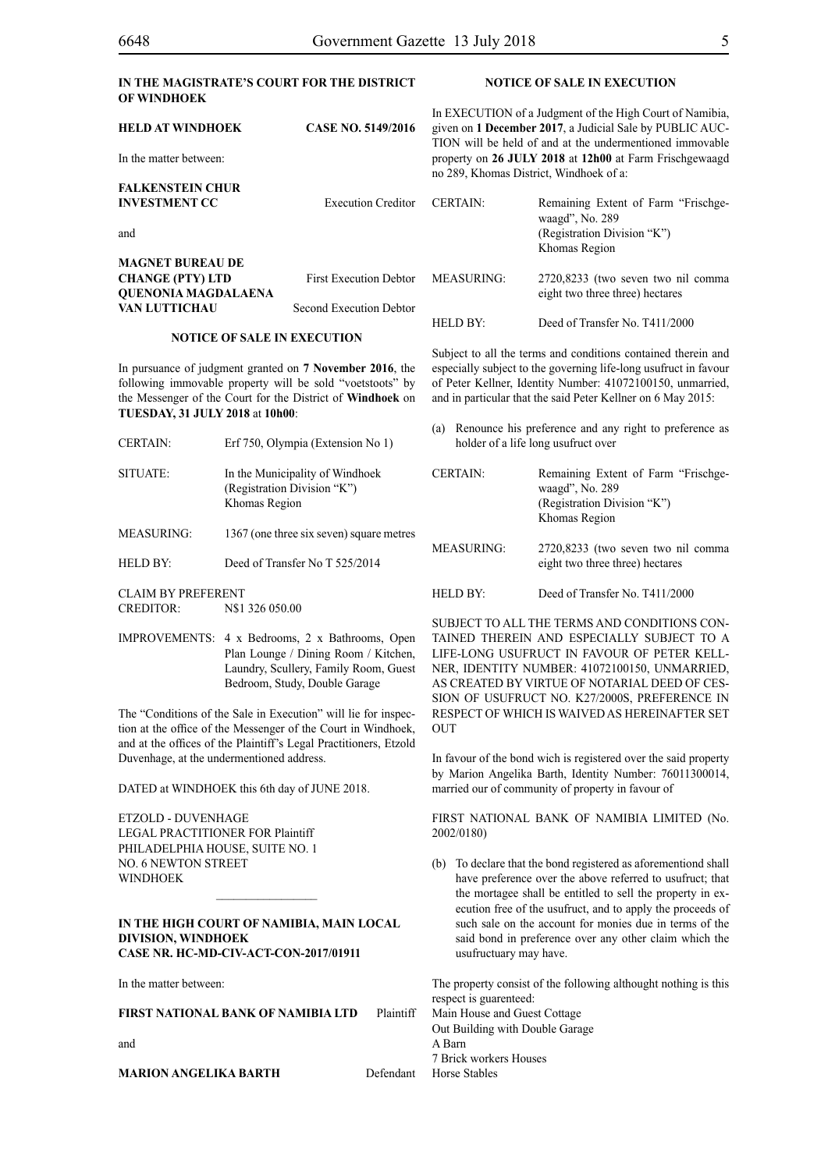# **IN THE MAGISTRATE'S COURT FOR THE DISTRICT OF WINDHOEK**

| <b>HELD AT WINDHOEK</b><br>In the matter between: | <b>CASE NO. 5149/2016</b>      |                   | In EXECUTION of a Judgment of the High Court of Namibia.<br>given on 1 December 2017, a Judicial Sale by PUBLIC AUC-<br>TION will be held of and at the undermentioned immovable<br>property on 26 JULY 2018 at 12h00 at Farm Frischgewaagd |
|---------------------------------------------------|--------------------------------|-------------------|---------------------------------------------------------------------------------------------------------------------------------------------------------------------------------------------------------------------------------------------|
|                                                   |                                |                   | no 289, Khomas District, Windhoek of a:                                                                                                                                                                                                     |
| <b>FALKENSTEIN CHUR</b>                           |                                |                   |                                                                                                                                                                                                                                             |
| <b>INVESTMENT CC</b>                              | <b>Execution Creditor</b>      | <b>CERTAIN:</b>   | Remaining Extent of Farm "Frischge-<br>waagd", No. 289                                                                                                                                                                                      |
| and                                               |                                |                   | (Registration Division "K")                                                                                                                                                                                                                 |
|                                                   |                                |                   | Khomas Region                                                                                                                                                                                                                               |
| <b>MAGNET BUREAU DE</b>                           |                                |                   |                                                                                                                                                                                                                                             |
| <b>CHANGE (PTY) LTD</b>                           | <b>First Execution Debtor</b>  | <b>MEASURING:</b> | 2720,8233 (two seven two nil comma                                                                                                                                                                                                          |
| <b>OUENONIA MAGDALAENA</b>                        |                                |                   | eight two three three) hectares                                                                                                                                                                                                             |
| VAN LUTTICHAU                                     | <b>Second Execution Debtor</b> |                   |                                                                                                                                                                                                                                             |

#### **NOTICE OF SALE IN EXECUTION**

In pursuance of judgment granted on **7 November 2016**, the following immovable property will be sold "voetstoots" by the Messenger of the Court for the District of **Windhoek** on **TUESDAY, 31 JULY 2018** at **10h00**:

CERTAIN: Erf 750, Olympia (Extension No 1) SITUATE: In the Municipality of Windhoek (Registration Division "K") Khomas Region MEASURING: 1367 (one three six seven) square metres HELD BY: Deed of Transfer No T 525/2014 CLAIM BY PREFERENT (a) Renounce his preference and any right to preference as holder of a life long usufruct over CERTAIN: Remaining Extent of Farm "Frischgewaagd", No. 289 (Registration Division "K") Khomas Region MEASURING: 2720,8233 (two seven two nil comma eight two three three) hectares HELD BY: Deed of Transfer No. T411/2000

IMPROVEMENTS: 4 x Bedrooms, 2 x Bathrooms, Open Plan Lounge / Dining Room / Kitchen, Laundry, Scullery, Family Room, Guest The "Conditions of the Sale in Execution" will lie for inspection at the office of the Messenger of the Court in Windhoek, SUBJECT TO ALL THE TERMS AND CONDITIONS CON-TAINED THEREIN AND ESPECIALLY SUBJECT TO A LIFE-LONG USUFRUCT IN FAVOUR OF PETER KELL-NER, IDENTITY NUMBER: 41072100150, UNMARRIED, AS CREATED BY VIRTUE OF NOTARIAL DEED OF CES-SION OF USUFRUCT NO. K27/2000S, PREFERENCE IN RESPECT OF WHICH IS WAIVED AS HEREINAFTER SET **OUT** 

> In favour of the bond wich is registered over the said property by Marion Angelika Barth, Identity Number: 76011300014, married our of community of property in favour of

> FIRST NATIONAL BANK OF NAMIBIA LIMITED (No. 2002/0180)

> (b) To declare that the bond registered as aforementiond shall have preference over the above referred to usufruct; that the mortagee shall be entitled to sell the property in execution free of the usufruct, and to apply the proceeds of such sale on the account for monies due in terms of the said bond in preference over any other claim which the usufructuary may have.

The property consist of the following althought nothing is this respect is guarenteed: Main House and Guest Cottage Out Building with Double Garage A Barn 7 Brick workers Houses Defendant Horse Stables

Duvenhage, at the undermentioned address.

DATED at WINDHOEK this 6th day of JUNE 2018.

and at the offices of the Plaintiff's Legal Practitioners, Etzold

Bedroom, Study, Double Garage

ETZOLD - DUVENHAGE LEGAL PRACTITIONER FOR Plaintiff PHILADELPHIA HOUSE, SUITE NO. 1 NO. 6 NEWTON STREET WINDHOEK

CREDITOR: N\$1 326 050.00

# **IN THE HIGH COURT OF NAMIBIA, MAIN LOCAL DIVISION, WINDHOEK Case Nr. HC-MD-CIV-ACT-CON-2017/01911**

In the matter between:

| FIRST NATIONAL BANK OF NAMIBIA LTD | Plaintiff |
|------------------------------------|-----------|
| and                                |           |

**MARION ANGELIKA BARTH** 

# **NOTICE OF SALE IN EXECUTION**

HELD BY: Deed of Transfer No. T411/2000

Subject to all the terms and conditions contained therein and especially subject to the governing life-long usufruct in favour of Peter Kellner, Identity Number: 41072100150, unmarried, and in particular that the said Peter Kellner on 6 May 2015: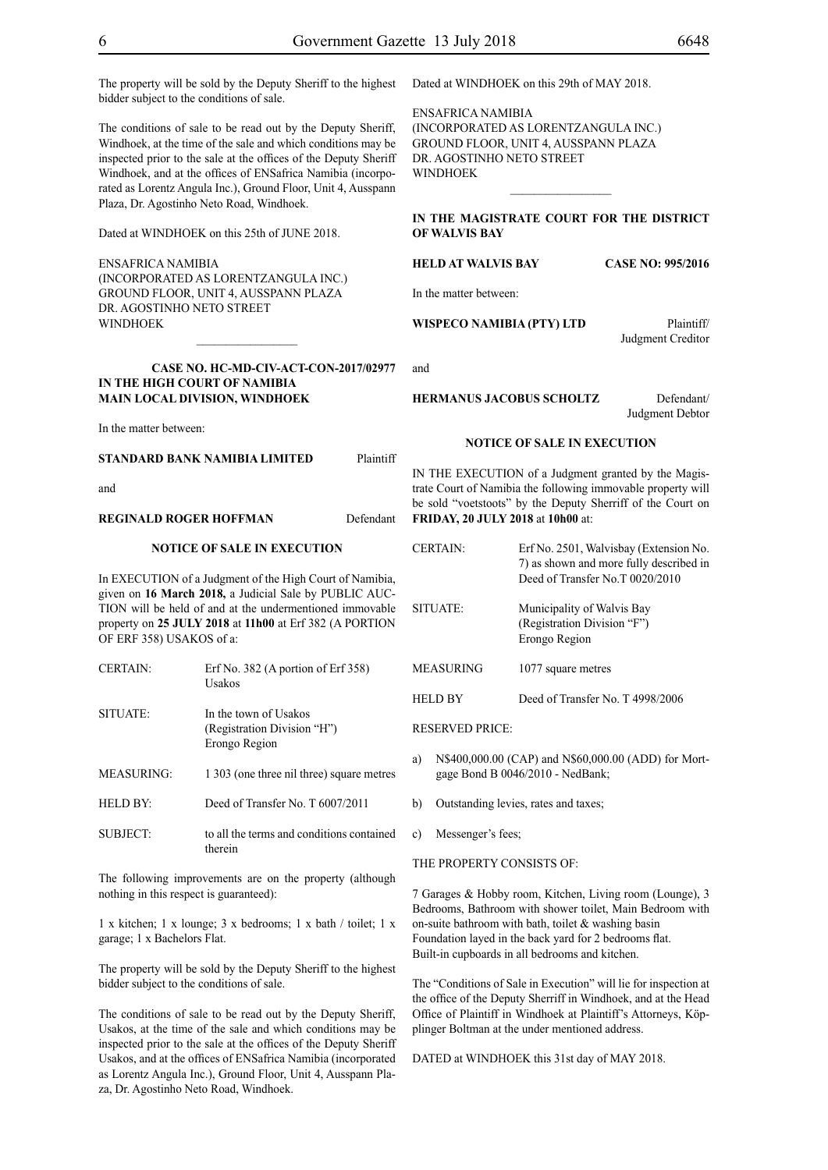The property will be sold by the Deputy Sheriff to the highest bidder subject to the conditions of sale.

The conditions of sale to be read out by the Deputy Sheriff, Windhoek, at the time of the sale and which conditions may be inspected prior to the sale at the offices of the Deputy Sheriff Windhoek, and at the offices of ENSafrica Namibia (incorporated as Lorentz Angula Inc.), Ground Floor, Unit 4, Ausspann Plaza, Dr. Agostinho Neto Road, Windhoek.

Dated at WINDHOEK on this 25th of JUNE 2018.

ENSafrica Namibia (incorporated as LorentzAngula Inc.) Ground Floor, Unit 4, Ausspann Plaza Dr. Agostinho Neto Street WINDHOEK

**Case NO. HC-MD-CIV-ACT-CON-2017/02977 IN THE HIGH COURT OF NAMIBIA MAIN LOCAL DIVISION, WINDHOEK**

 $\frac{1}{2}$ 

In the matter between:

# **STANDARD BANK NAMIBIA LIMITED** Plaintiff

and

# **REGINALD ROGER HOFFMAN** Defendant

#### **NOTICE OF SALE IN EXECUTION**

In EXECUTION of a Judgment of the High Court of Namibia, given on **16 March 2018,** a Judicial Sale by PUBLIC AUC-TION will be held of and at the undermentioned immovable property on **25 JULY 2018** at **11h00** at Erf 382 (A PORTION OF ERF 358) USAKOS of a:

| <b>CERTAIN:</b>   | Erf No. 382 (A portion of Erf 358)<br>Usakos                          |
|-------------------|-----------------------------------------------------------------------|
| SITUATE:          | In the town of Usakos<br>(Registration Division "H")<br>Erongo Region |
| <b>MEASURING:</b> | 1 303 (one three nil three) square metres                             |
| <b>HELD BY:</b>   | Deed of Transfer No. T 6007/2011                                      |
| SUBJECT:          | to all the terms and conditions contained<br>therein                  |

The following improvements are on the property (although nothing in this respect is guaranteed):

1 x kitchen; 1 x lounge; 3 x bedrooms; 1 x bath / toilet; 1 x garage; 1 x Bachelors Flat.

The property will be sold by the Deputy Sheriff to the highest bidder subject to the conditions of sale.

The conditions of sale to be read out by the Deputy Sheriff, Usakos, at the time of the sale and which conditions may be inspected prior to the sale at the offices of the Deputy Sheriff Usakos, and at the offices of ENSafrica Namibia (incorporated as Lorentz Angula Inc.), Ground Floor, Unit 4, Ausspann Plaza, Dr. Agostinho Neto Road, Windhoek.

Dated at WINDHOEK on this 29th of MAY 2018.

ENSafrica Namibia (incorporated as LorentzAngula Inc.) Ground Floor, Unit 4, Ausspann Plaza DR. AGOSTINHO NETO STREET **WINDHOEK** 

**IN THE MAGISTRATE COURT FOR THE DISTRICT OF WALVIS BAY** 

 $\frac{1}{2}$ 

**HELD AT WALVIS BAY CASE NO: 995/2016**

In the matter between:

**WISPECO NAMIBIA (PTY) LTD** Plaintiff/

Judgment Creditor

and

**HERMANUS JACOBUS SCHOLTZ** Defendant/

Judgment Debtor

#### **NOTICE OF SALE IN EXECUTION**

IN THE EXECUTION of a Judgment granted by the Magistrate Court of Namibia the following immovable property will be sold "voetstoots" by the Deputy Sherriff of the Court on **FRIDAY, 20 JULY 2018** at **10h00** at:

CERTAIN: Erf No. 2501, Walvisbay (Extension No. 7) as shown and more fully described in Deed of Transfer No.T 0020/2010 SITUATE: Municipality of Walvis Bay (Registration Division "F") Erongo Region MEASURING 1077 square metres HELD BY Deed of Transfer No. T 4998/2006

# RESERVED PRICE:

- a) N\$400,000.00 (CAP) and N\$60,000.00 (ADD) for Mortgage Bond B 0046/2010 - NedBank;
- b) Outstanding levies, rates and taxes;
- c) Messenger's fees;

# THE PROPERTY CONSISTS OF:

7 Garages & Hobby room, Kitchen, Living room (Lounge), 3 Bedrooms, Bathroom with shower toilet, Main Bedroom with on-suite bathroom with bath, toilet  $&$  washing basin Foundation layed in the back yard for 2 bedrooms flat. Built-in cupboards in all bedrooms and kitchen.

The "Conditions of Sale in Execution" will lie for inspection at the office of the Deputy Sherriff in Windhoek, and at the Head Office of Plaintiff in Windhoek at Plaintiff's Attorneys, Köpplinger Boltman at the under mentioned address.

DATED at WINDHOEK this 31st day of MAY 2018.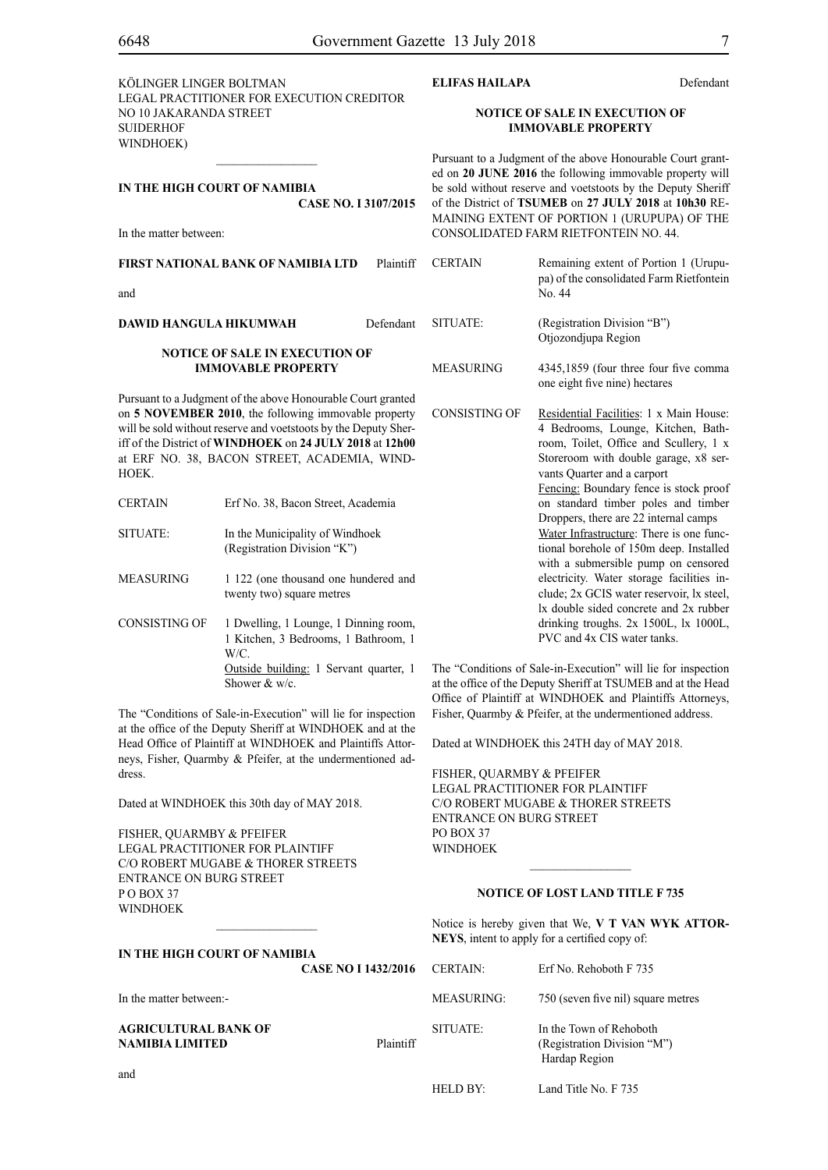**Defendant** 

| KÖLINGER LINGER BOLTMAN                   |
|-------------------------------------------|
| LEGAL PRACTITIONER FOR EXECUTION CREDITOR |
| NO 10 JAKARANDA STREET                    |
| SUIDERHOF                                 |
| WINDHOEK)                                 |
|                                           |

 $\frac{1}{2}$ 

**CASE No. I 3107/2015**

**IN THE HIGH COURT OF NAMIBIA**

In the matter between:

| ELIFAS HAILAPA |  |
|----------------|--|
|                |  |

# **NOTICE OF SALE IN EXECUTION OF IMMOVABLE PROPERTY**

Pursuant to a Judgment of the above Honourable Court granted on **20 JUNE 2016** the following immovable property will be sold without reserve and voetstoots by the Deputy Sheriff of the District of **TSUMEB** on **27 JULY 2018** at **10h30** RE-MAINING EXTENT OF PORTION 1 (URUPUPA) OF THE CONSOLIDATED FARM RIETFONTEIN NO. 44.

**FIRST NATIONAL BANK OF NAMIBIA LTD** Plaintiff and **DAWID HANGULA HIKUMWAH** Defendant **NOTICE OF SALE IN EXECUTION OF IMMOVABLE PROPERTY** Pursuant to a Judgment of the above Honourable Court granted on **5 NOVEMBER 2010**, the following immovable property will be sold without reserve and voetstoots by the Deputy Sheriff of the District of **WINDHOEK** on **24 JULY 2018** at **12h00**  at ERF NO. 38, BACON STREET, ACADEMIA, WIND-HOEK. CERTAIN Erf No. 38, Bacon Street, Academia SITUATE: In the Municipality of Windhoek (Registration Division "K") MEASURING 1 122 (one thousand one hundered and twenty two) square metres CONSISTING OF 1 Dwelling, 1 Lounge, 1 Dinning room, 1 Kitchen, 3 Bedrooms, 1 Bathroom, 1 W/C. CERTAIN Remaining extent of Portion 1 (Urupupa) of the consolidated Farm Rietfontein No. 44 SITUATE: (Registration Division "B") Otjozondjupa Region MEASURING 4345,1859 (four three four five comma one eight five nine) hectares CONSISTING OF Residential Facilities: 1 x Main House: 4 Bedrooms, Lounge, Kitchen, Bathroom, Toilet, Office and Scullery, 1 x Storeroom with double garage, x8 servants Quarter and a carport Fencing: Boundary fence is stock proof on standard timber poles and timber Droppers, there are 22 internal camps Water Infrastructure: There is one functional borehole of 150m deep. Installed with a submersible pump on censored electricity. Water storage facilities include; 2x GCIS water reservoir, lx steel, lx double sided concrete and 2x rubber drinking troughs. 2x 1500L, lx 1000L, PVC and 4x CIS water tanks. The "Conditions of Sale-in-Execution" will lie for inspection

Outside building: 1 Servant quarter, 1 Shower & w/c. at the office of the Deputy Sheriff at TSUMEB and at the Head Office of Plaintiff at WINDHOEK and Plaintiffs Attorneys,

The "Conditions of Sale-in-Execution" will lie for inspection at the office of the Deputy Sheriff at WINDHOEK and at the Head Office of Plaintiff at WINDHOEK and Plaintiffs Attorneys, Fisher, Quarmby & Pfeifer, at the undermentioned address.

Dated at WINDHOEK this 30th day of MAY 2018.

FISHER, QUARMBY & PFEIFER LEGAL PRACTITIONER FOR Plaintiff c/o Robert Mugabe & Thorer Streets entrance on Burg Street  $P$  O BOY 37 WINDHOEK

**IN THE HIGH COURT OF NAMIBIA**

# **NOTICE OF LOST LAND TITLE F 735**

 $\frac{1}{2}$ 

Fisher, Quarmby & Pfeifer, at the undermentioned address.

Dated at WINDHOEK this 24TH day of MAY 2018.

FISHER, QUARMBY & PFEIFER LEGAL PRACTITIONER FOR Plaintiff c/o Robert Mugabe & Thorer Streets

entrance on Burg Street

 $PO$  BOX 37 **WINDHOEK** 

Notice is hereby given that We, **V T VAN WYK ATTOR-NEYS**, intent to apply for a certified copy of:

|                                                       | <b>CASE NO I 1432/2016</b> | <b>CERTAIN:</b> | Erf No. Rehoboth F 735                                                  |
|-------------------------------------------------------|----------------------------|-----------------|-------------------------------------------------------------------------|
| In the matter between:-                               |                            | MEASURING:      | 750 (seven five nil) square metres                                      |
| <b>AGRICULTURAL BANK OF</b><br><b>NAMIBIA LIMITED</b> | Plaintiff                  | SITUATE:        | In the Town of Rehoboth<br>(Registration Division "M")<br>Hardap Region |
| and                                                   |                            | HELD BY:        | Land Title No. F 735                                                    |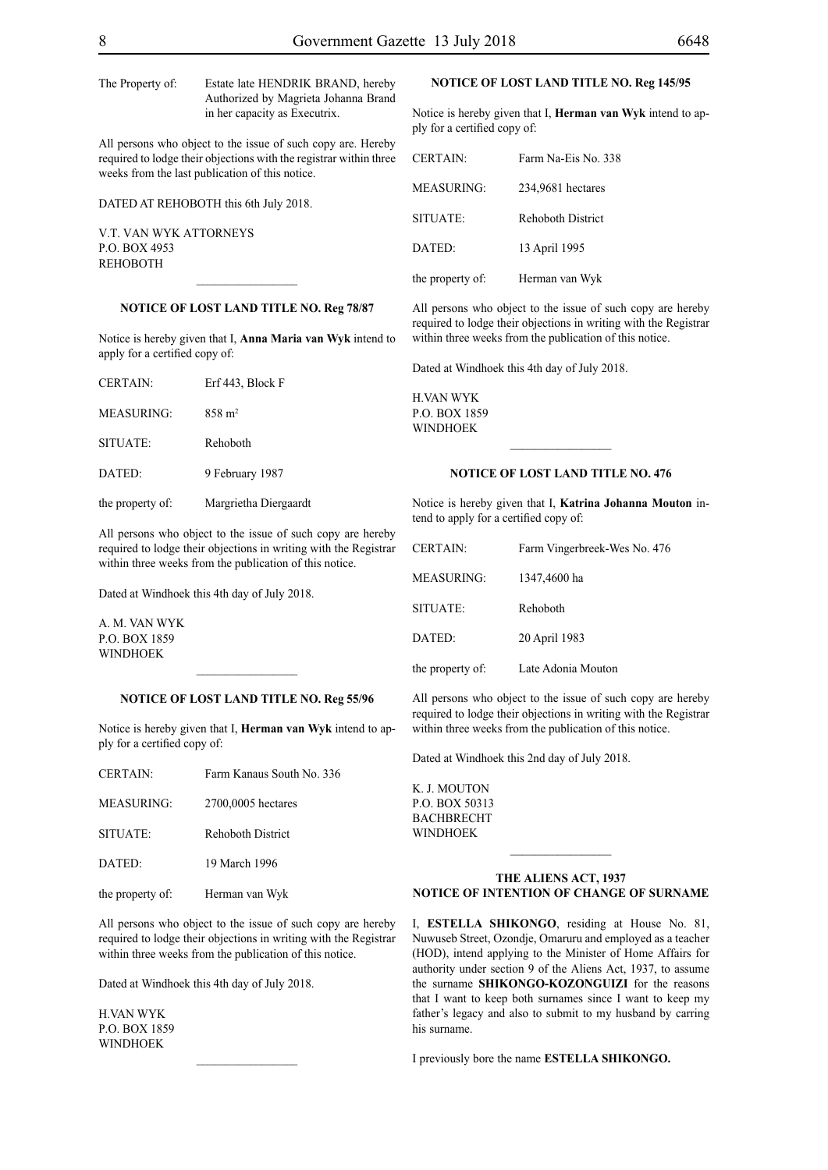The Property of: Estate late HENDRIK BRAND, hereby Authorized by Magrieta Johanna Brand in her capacity as Executrix.

All persons who object to the issue of such copy are. Hereby required to lodge their objections with the registrar within three weeks from the last publication of this notice.

DATED AT REHOBOTH this 6th July 2018.

V.T. van Wyk Attorneys P.O. Box 4953 **REHOBOTH** 

# **NOTICE OF LOST LAND TITLE NO. Reg 78/87**

 $\overline{\phantom{a}}$  , where  $\overline{\phantom{a}}$ 

Notice is hereby given that I, **Anna Maria van Wyk** intend to apply for a certified copy of:

| <b>CERTAIN:</b>  | Erf 443, Block F      |
|------------------|-----------------------|
| MEASURING:       | $858 \text{ m}^2$     |
| SITUATE:         | Rehoboth              |
| DATED:           | 9 February 1987       |
| the property of: | Margrietha Diergaardt |

All persons who object to the issue of such copy are hereby required to lodge their objections in writing with the Registrar within three weeks from the publication of this notice.

Dated at Windhoek this 4th day of July 2018.

A. M. van Wyk p.o. box 1859 **WINDHOEK** 

## **NOTICE OF LOST LAND TITLE NO. Reg 55/96**

 $\frac{1}{2}$ 

Notice is hereby given that I, **Herman van Wyk** intend to apply for a certified copy of:

| <b>CERTAIN:</b>   | Farm Kanaus South No. 336 |
|-------------------|---------------------------|
| <b>MEASURING:</b> | 2700,0005 hectares        |
| SITUATE:          | <b>Rehoboth District</b>  |
| DATED:            | 19 March 1996             |
| the property of:  | Herman van Wyk            |

All persons who object to the issue of such copy are hereby required to lodge their objections in writing with the Registrar within three weeks from the publication of this notice.

 $\frac{1}{2}$ 

Dated at Windhoek this 4th day of July 2018.

H.van Wyk p.o. box 1859 **WINDHOEK** 

# **NOTICE OF LOST LAND TITLE NO. Reg 145/95**

Notice is hereby given that I, **Herman van Wyk** intend to apply for a certified copy of:

| <b>CERTAIN:</b>  | Farm Na-Eis No. 338      |
|------------------|--------------------------|
| MEASURING:       | 234,9681 hectares        |
| SITUATE:         | <b>Rehoboth District</b> |
| DATED:           | 13 April 1995            |
| the property of: | Herman van Wyk           |

All persons who object to the issue of such copy are hereby required to lodge their objections in writing with the Registrar within three weeks from the publication of this notice.

Dated at Windhoek this 4th day of July 2018.

H.van Wyk p.o. box 1859 **WINDHOEK** 

# **NOTICE OF LOST LAND TITLE NO. 476**

Notice is hereby given that I, **Katrina Johanna Mouton** intend to apply for a certified copy of:

| <b>CERTAIN:</b>   | Farm Vingerbreek-Wes No. 476 |
|-------------------|------------------------------|
| <b>MEASURING:</b> | 1347,4600 ha                 |
| SITUATE:          | Rehoboth                     |
| DATED:            | 20 April 1983                |
| the property of:  | Late Adonia Mouton           |

All persons who object to the issue of such copy are hereby required to lodge their objections in writing with the Registrar within three weeks from the publication of this notice.

Dated at Windhoek this 2nd day of July 2018.

K. J. MOUTON p.o. box 50313 **BACHBRECHT WINDHOEK** 

# **THE ALIENS ACT, 1937 NOTICE OF INTENTION OF CHANGE OF SURNAME**

 $\frac{1}{2}$ 

I, **Estella shikongo**, residing at House No. 81, Nuwuseb Street, Ozondje, Omaruru and employed as a teacher (HOD), intend applying to the Minister of Home Affairs for authority under section 9 of the Aliens Act, 1937, to assume the surname **shikongo-kozonguizi** for the reasons that I want to keep both surnames since I want to keep my father's legacy and also to submit to my husband by carring his surname.

I previously bore the name **Estella shikongo.**